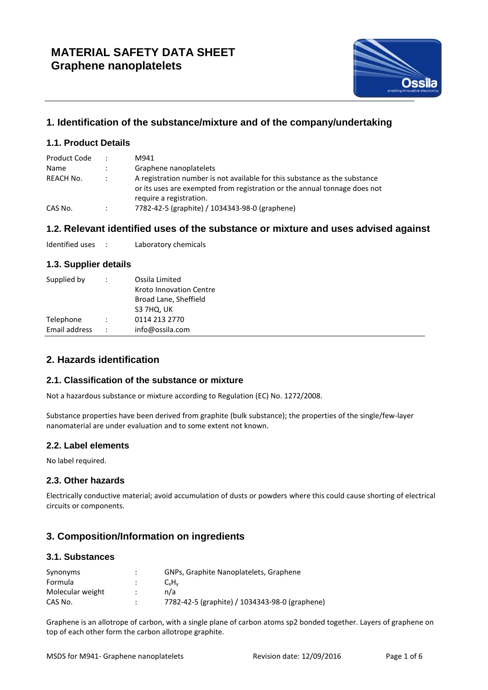

# **1. Identification of the substance/mixture and of the company/undertaking**

## **1.1. Product Details**

| Product Code |                | M941                                                                                                                                                                               |
|--------------|----------------|------------------------------------------------------------------------------------------------------------------------------------------------------------------------------------|
| Name         |                | Graphene nanoplatelets                                                                                                                                                             |
| REACH No.    |                | A registration number is not available for this substance as the substance<br>or its uses are exempted from registration or the annual tonnage does not<br>require a registration. |
| CAS No.      | $\ddot{\cdot}$ | 7782-42-5 (graphite) / 1034343-98-0 (graphene)                                                                                                                                     |

## **1.2. Relevant identified uses of the substance or mixture and uses advised against**

Identified uses : Laboratory chemicals

### **1.3. Supplier details**

| Supplied by   |                      | Ossila Limited<br>Kroto Innovation Centre<br>Broad Lane, Sheffield<br>S3 7HQ, UK |
|---------------|----------------------|----------------------------------------------------------------------------------|
| Telephone     |                      | 0114 213 2770                                                                    |
| Email address | $\ddot{\phantom{0}}$ | info@ossila.com                                                                  |

### **2. Hazards identification**

### **2.1. Classification of the substance or mixture**

Not a hazardous substance or mixture according to Regulation (EC) No. 1272/2008.

Substance properties have been derived from graphite (bulk substance); the properties of the single/few-layer nanomaterial are under evaluation and to some extent not known.

### **2.2. Label elements**

No label required.

### **2.3. Other hazards**

Electrically conductive material; avoid accumulation of dusts or powders where this could cause shorting of electrical circuits or components.

# **3. Composition/Information on ingredients**

### **3.1. Substances**

| Synonyms         | $\cdot$ | GNPs, Graphite Nanoplatelets, Graphene         |
|------------------|---------|------------------------------------------------|
| Formula          | ٠       | $C_vH_v$                                       |
| Molecular weight |         | n/a                                            |
| CAS No.          |         | 7782-42-5 (graphite) / 1034343-98-0 (graphene) |

Graphene is an allotrope of carbon, with a single plane of carbon atoms sp2 bonded together. Layers of graphene on top of each other form the carbon allotrope graphite.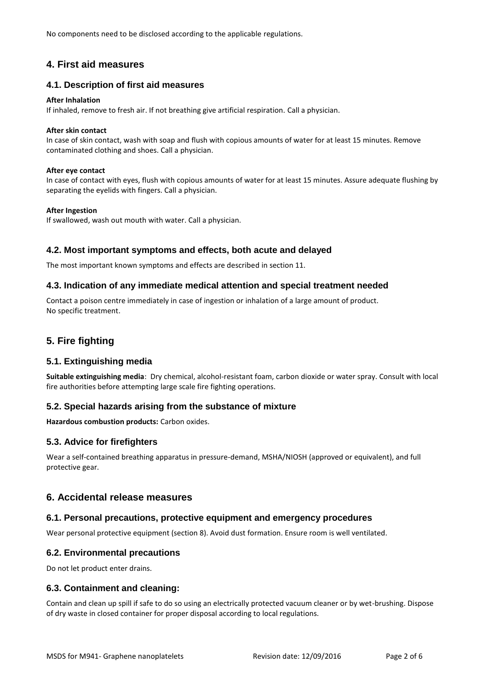No components need to be disclosed according to the applicable regulations.

## **4. First aid measures**

### **4.1. Description of first aid measures**

#### **After Inhalation**

If inhaled, remove to fresh air. If not breathing give artificial respiration. Call a physician.

#### **After skin contact**

In case of skin contact, wash with soap and flush with copious amounts of water for at least 15 minutes. Remove contaminated clothing and shoes. Call a physician.

#### **After eye contact**

In case of contact with eyes, flush with copious amounts of water for at least 15 minutes. Assure adequate flushing by separating the eyelids with fingers. Call a physician.

#### **After Ingestion**

If swallowed, wash out mouth with water. Call a physician.

### **4.2. Most important symptoms and effects, both acute and delayed**

The most important known symptoms and effects are described in section 11.

### **4.3. Indication of any immediate medical attention and special treatment needed**

Contact a poison centre immediately in case of ingestion or inhalation of a large amount of product. No specific treatment.

## **5. Fire fighting**

### **5.1. Extinguishing media**

**Suitable extinguishing media**: Dry chemical, alcohol-resistant foam, carbon dioxide or water spray. Consult with local fire authorities before attempting large scale fire fighting operations.

### **5.2. Special hazards arising from the substance of mixture**

**Hazardous combustion products:** Carbon oxides.

### **5.3. Advice for firefighters**

Wear a self-contained breathing apparatus in pressure-demand, MSHA/NIOSH (approved or equivalent), and full protective gear.

### **6. Accidental release measures**

#### **6.1. Personal precautions, protective equipment and emergency procedures**

Wear personal protective equipment (section 8). Avoid dust formation. Ensure room is well ventilated.

### **6.2. Environmental precautions**

Do not let product enter drains.

### **6.3. Containment and cleaning:**

Contain and clean up spill if safe to do so using an electrically protected vacuum cleaner or by wet-brushing. Dispose of dry waste in closed container for proper disposal according to local regulations.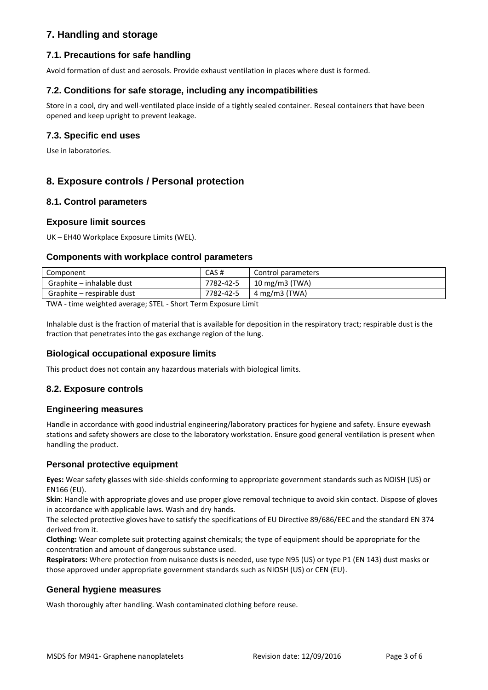# **7. Handling and storage**

## **7.1. Precautions for safe handling**

Avoid formation of dust and aerosols. Provide exhaust ventilation in places where dust is formed.

### **7.2. Conditions for safe storage, including any incompatibilities**

Store in a cool, dry and well-ventilated place inside of a tightly sealed container. Reseal containers that have been opened and keep upright to prevent leakage.

### **7.3. Specific end uses**

Use in laboratories.

## **8. Exposure controls / Personal protection**

### **8.1. Control parameters**

#### **Exposure limit sources**

UK – EH40 Workplace Exposure Limits (WEL).

#### **Components with workplace control parameters**

| Component                  | CAS#      | Control parameters                 |
|----------------------------|-----------|------------------------------------|
| Graphite – inhalable dust  | 7782-42-5 | $10 \text{ mg/m}$ 3 (TWA)          |
| Graphite – respirable dust | 7782-42-5 | $4 \text{ mg/m}$ $3 \text{ (TWA)}$ |

TWA - time weighted average; STEL - Short Term Exposure Limit

Inhalable dust is the fraction of material that is available for deposition in the respiratory tract; respirable dust is the fraction that penetrates into the gas exchange region of the lung.

### **Biological occupational exposure limits**

This product does not contain any hazardous materials with biological limits.

### **8.2. Exposure controls**

### **Engineering measures**

Handle in accordance with good industrial engineering/laboratory practices for hygiene and safety. Ensure eyewash stations and safety showers are close to the laboratory workstation. Ensure good general ventilation is present when handling the product.

### **Personal protective equipment**

**Eyes:** Wear safety glasses with side-shields conforming to appropriate government standards such as NOISH (US) or EN166 (EU).

**Skin**: Handle with appropriate gloves and use proper glove removal technique to avoid skin contact. Dispose of gloves in accordance with applicable laws. Wash and dry hands.

The selected protective gloves have to satisfy the specifications of EU Directive 89/686/EEC and the standard EN 374 derived from it.

**Clothing:** Wear complete suit protecting against chemicals; the type of equipment should be appropriate for the concentration and amount of dangerous substance used.

**Respirators:** Where protection from nuisance dusts is needed, use type N95 (US) or type P1 (EN 143) dust masks or those approved under appropriate government standards such as NIOSH (US) or CEN (EU).

### **General hygiene measures**

Wash thoroughly after handling. Wash contaminated clothing before reuse.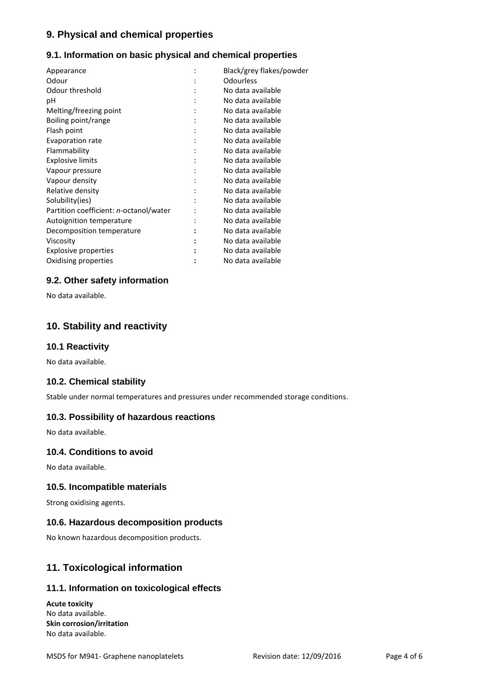# **9. Physical and chemical properties**

### **9.1. Information on basic physical and chemical properties**

| Appearance                             | Black/grey flakes/powder |
|----------------------------------------|--------------------------|
| Odour                                  | Odourless                |
| Odour threshold                        | No data available        |
| рH                                     | No data available        |
| Melting/freezing point                 | No data available        |
| Boiling point/range                    | No data available        |
| Flash point                            | No data available        |
| Evaporation rate                       | No data available        |
| Flammability                           | No data available        |
| <b>Explosive limits</b>                | No data available        |
| Vapour pressure                        | No data available        |
| Vapour density                         | No data available        |
| Relative density                       | No data available        |
| Solubility(ies)                        | No data available        |
| Partition coefficient: n-octanol/water | No data available        |
| Autoignition temperature               | No data available        |
| Decomposition temperature              | No data available        |
| Viscosity                              | No data available        |
| <b>Explosive properties</b>            | No data available        |
| Oxidising properties                   | No data available        |
|                                        |                          |

### **9.2. Other safety information**

No data available.

### **10. Stability and reactivity**

#### **10.1 Reactivity**

No data available.

### **10.2. Chemical stability**

Stable under normal temperatures and pressures under recommended storage conditions.

### **10.3. Possibility of hazardous reactions**

No data available.

### **10.4. Conditions to avoid**

No data available.

### **10.5. Incompatible materials**

Strong oxidising agents.

### **10.6. Hazardous decomposition products**

No known hazardous decomposition products.

### **11. Toxicological information**

### **11.1. Information on toxicological effects**

**Acute toxicity** No data available. **Skin corrosion/irritation** No data available.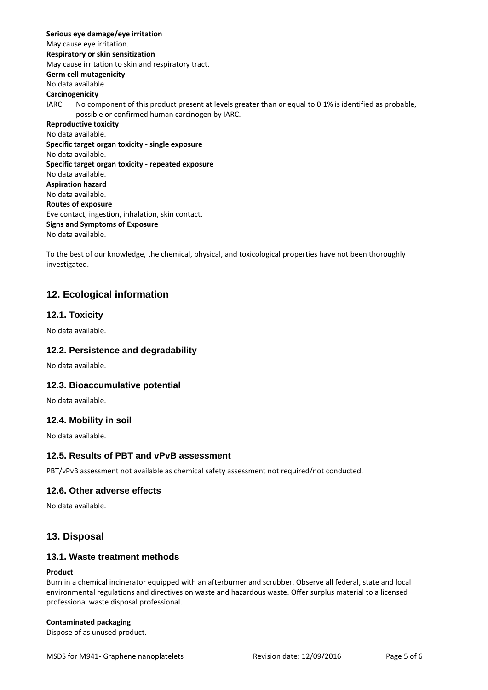**Serious eye damage/eye irritation** May cause eye irritation. **Respiratory or skin sensitization** May cause irritation to skin and respiratory tract. **Germ cell mutagenicity** No data available. **Carcinogenicity** IARC: No component of this product present at levels greater than or equal to 0.1% is identified as probable, possible or confirmed human carcinogen by IARC. **Reproductive toxicity** No data available. **Specific target organ toxicity - single exposure** No data available. **Specific target organ toxicity - repeated exposure** No data available. **Aspiration hazard** No data available. **Routes of exposure** Eye contact, ingestion, inhalation, skin contact. **Signs and Symptoms of Exposure** No data available.

To the best of our knowledge, the chemical, physical, and toxicological properties have not been thoroughly investigated.

# **12. Ecological information**

### **12.1. Toxicity**

No data available.

### **12.2. Persistence and degradability**

No data available.

### **12.3. Bioaccumulative potential**

No data available.

### **12.4. Mobility in soil**

No data available.

### **12.5. Results of PBT and vPvB assessment**

PBT/vPvB assessment not available as chemical safety assessment not required/not conducted.

### **12.6. Other adverse effects**

No data available.

### **13. Disposal**

### **13.1. Waste treatment methods**

#### **Product**

Burn in a chemical incinerator equipped with an afterburner and scrubber. Observe all federal, state and local environmental regulations and directives on waste and hazardous waste. Offer surplus material to a licensed professional waste disposal professional.

#### **Contaminated packaging**

Dispose of as unused product.